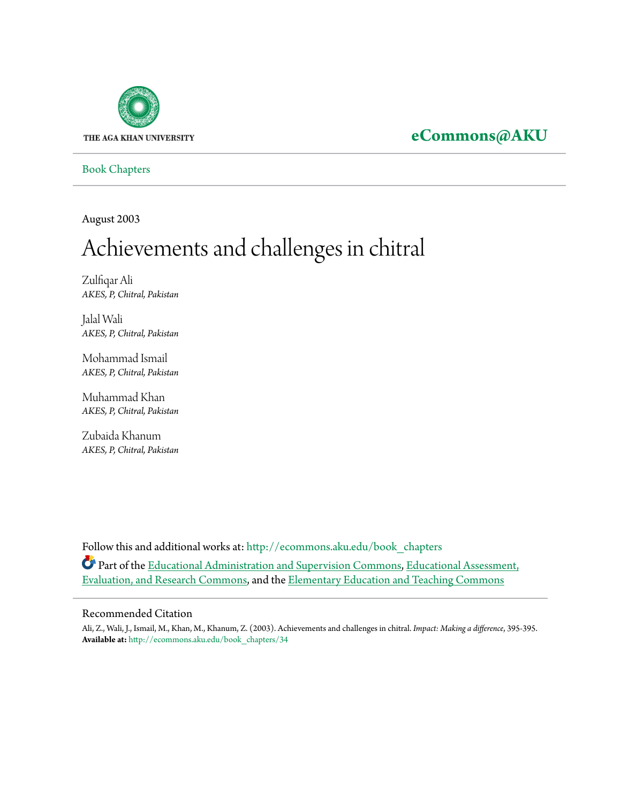

# **[eCommons@AKU](http://ecommons.aku.edu?utm_source=ecommons.aku.edu%2Fbook_chapters%2F34&utm_medium=PDF&utm_campaign=PDFCoverPages)**

[Book Chapters](http://ecommons.aku.edu/book_chapters?utm_source=ecommons.aku.edu%2Fbook_chapters%2F34&utm_medium=PDF&utm_campaign=PDFCoverPages)

August 2003

# Achievements and challenges in chitral

Zulfiqar Ali *AKES, P, Chitral, Pakistan*

Jalal Wali *AKES, P, Chitral, Pakistan*

Mohammad Ismail *AKES, P, Chitral, Pakistan*

Muhammad Khan *AKES, P, Chitral, Pakistan*

Zubaida Khanum *AKES, P, Chitral, Pakistan*

Follow this and additional works at: [http://ecommons.aku.edu/book\\_chapters](http://ecommons.aku.edu/book_chapters?utm_source=ecommons.aku.edu%2Fbook_chapters%2F34&utm_medium=PDF&utm_campaign=PDFCoverPages) Part of the [Educational Administration and Supervision Commons,](http://network.bepress.com/hgg/discipline/787?utm_source=ecommons.aku.edu%2Fbook_chapters%2F34&utm_medium=PDF&utm_campaign=PDFCoverPages) [Educational Assessment,](http://network.bepress.com/hgg/discipline/796?utm_source=ecommons.aku.edu%2Fbook_chapters%2F34&utm_medium=PDF&utm_campaign=PDFCoverPages) [Evaluation, and Research Commons,](http://network.bepress.com/hgg/discipline/796?utm_source=ecommons.aku.edu%2Fbook_chapters%2F34&utm_medium=PDF&utm_campaign=PDFCoverPages) and the [Elementary Education and Teaching Commons](http://network.bepress.com/hgg/discipline/805?utm_source=ecommons.aku.edu%2Fbook_chapters%2F34&utm_medium=PDF&utm_campaign=PDFCoverPages)

#### Recommended Citation

Ali, Z., Wali, J., Ismail, M., Khan, M., Khanum, Z. (2003). Achievements and challenges in chitral. *Impact: Making a difference*, 395-395. **Available at:** [http://ecommons.aku.edu/book\\_chapters/34](http://ecommons.aku.edu/book_chapters/34)